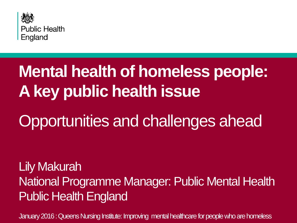

## **Mental health of homeless people: A key public health issue**

## Opportunities and challenges ahead

Lily Makurah National Programme Manager: Public Mental Health Public Health England

January 2016 : Queens Nursing Institute: Improving mental healthcare for people who are homeless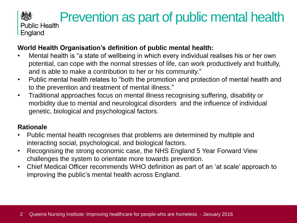## **SEP Prevention as part of public mental health** Public Health

England

人类

#### **World Health Organisation's definition of public mental health:**

- Mental health is "a state of wellbeing in which every individual realises his or her own potential, can cope with the normal stresses of life, can work productively and fruitfully, and is able to make a contribution to her or his community."
- Public mental health relates to "both the promotion and protection of mental health and to the prevention and treatment of mental illness."
- Traditional approaches focus on mental illness recognising suffering, disability or morbidity due to mental and neurological disorders and the influence of individual genetic, biological and psychological factors.

#### **Rationale**

- Public mental health recognises that problems are determined by multiple and interacting social, psychological, and biological factors.
- Recognising the strong economic case, the NHS England 5 Year Forward View challenges the system to orientate more towards prevention.
- Chief Medical Officer recommends WHO definition as part of an 'at scale' approach to improving the public's mental health across England.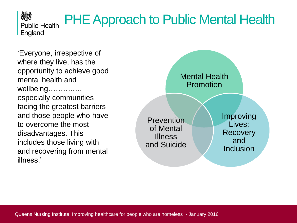PHE Approach to Public Mental Health

*'*Everyone, irrespective of where they live, has the opportunity to achieve good mental health and wellbeing……….…. especially communities facing the greatest barriers and those people who have to overcome the most disadvantages. This includes those living with and recovering from mental illness.'



公务 **Public Health** England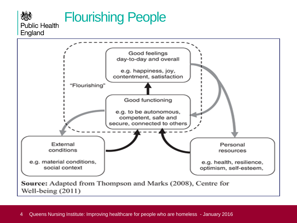

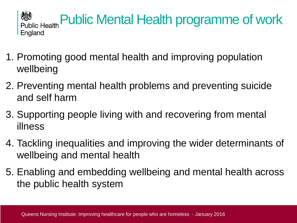

- 1. Promoting good mental health and improving population wellbeing
- 2. Preventing mental health problems and preventing suicide and self harm
- 3. Supporting people living with and recovering from mental illness
- 4. Tackling inequalities and improving the wider determinants of wellbeing and mental health
- 5. Enabling and embedding wellbeing and mental health across the public health system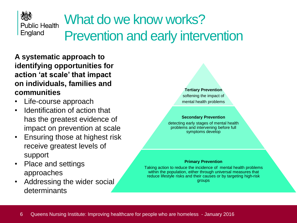

## What do we know works? Prevention and early intervention

**A systematic approach to identifying opportunities for action 'at scale' that impact on individuals, families and communities**

- Life-course approach
- Identification of action that has the greatest evidence of impact on prevention at scale
- Ensuring those at highest risk receive greatest levels of support
- Place and settings approaches
- Addressing the wider social determinants



#### **Secondary Prevention**

detecting early stages of mental health problems and intervening before full symptoms develop

#### **Primary Prevention**

Taking action to reduce the incidence of mental health problems within the population, either through universal measures that reduce lifestyle risks and their causes or by targeting high-risk groups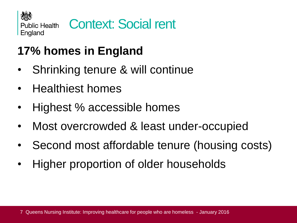

## **17% homes in England**

- Shrinking tenure & will continue
- Healthiest homes
- Highest % accessible homes
- Most overcrowded & least under-occupied
- Second most affordable tenure (housing costs)
- Higher proportion of older households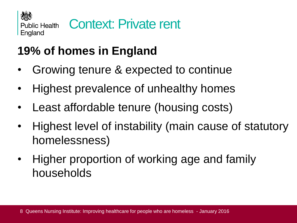

## **19% of homes in England**

- Growing tenure & expected to continue
- Highest prevalence of unhealthy homes
- Least affordable tenure (housing costs)
- Highest level of instability (main cause of statutory homelessness)
- Higher proportion of working age and family households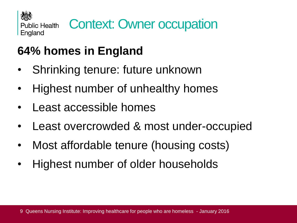

## **64% homes in England**

- Shrinking tenure: future unknown
- Highest number of unhealthy homes
- Least accessible homes
- Least overcrowded & most under-occupied
- Most affordable tenure (housing costs)
- Highest number of older households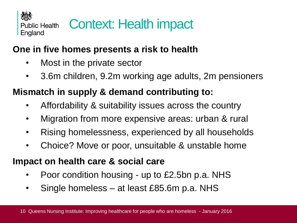

## Context: Health impact

### **One in five homes presents a risk to health**

- Most in the private sector
- 3.6m children, 9.2m working age adults, 2m pensioners

### **Mismatch in supply & demand contributing to:**

- Affordability & suitability issues across the country
- Migration from more expensive areas: urban & rural
- Rising homelessness, experienced by all households
- Choice? Move or poor, unsuitable & unstable home

### **Impact on health care & social care**

- Poor condition housing up to £2.5bn p.a. NHS
- Single homeless at least £85.6m p.a. NHS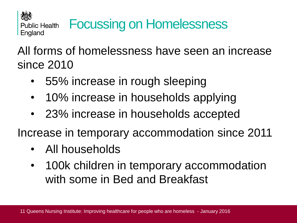

## All forms of homelessness have seen an increase since 2010

- 55% increase in rough sleeping
- 10% increase in households applying
- 23% increase in households accepted

Increase in temporary accommodation since 2011

- All households
- 100k children in temporary accommodation with some in Bed and Breakfast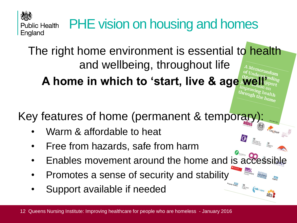PHE vision on housing and homes **Public Health** England

The right home environment is essential to health and wellbeing, throughout life A home in which to 'start, live & age

Key features of home (permanent & temporary):<br>• Warm & affordable to heat<br> $\bullet$ 

- Warm & affordable to heat
- Free from hazards, safe from harm
- Enables movement around the home and is accession
- Promotes a sense of security and stability
- Support available if needed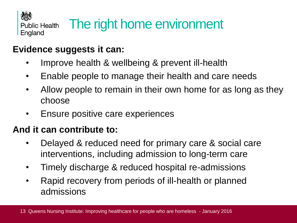

#### **Evidence suggests it can:**

- Improve health & wellbeing & prevent ill-health
- Enable people to manage their health and care needs
- Allow people to remain in their own home for as long as they choose
- Ensure positive care experiences

#### **And it can contribute to:**

- Delayed & reduced need for primary care & social care interventions, including admission to long-term care
- Timely discharge & reduced hospital re-admissions
- Rapid recovery from periods of ill-health or planned admissions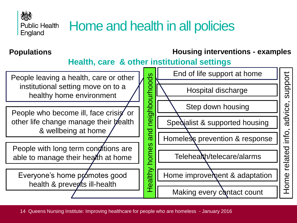

## Home and health in all policies

#### **Populations Housing interventions - examples**

#### **Health, care & other institutional settings**

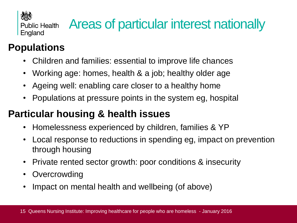

## Areas of particular interest nationally

## **Populations**

- Children and families: essential to improve life chances
- Working age: homes, health & a job; healthy older age
- Ageing well: enabling care closer to a healthy home
- Populations at pressure points in the system eg, hospital

### **Particular housing & health issues**

- Homelessness experienced by children, families & YP
- Local response to reductions in spending eg, impact on prevention through housing
- Private rented sector growth: poor conditions & insecurity
- **Overcrowding**
- Impact on mental health and wellbeing (of above)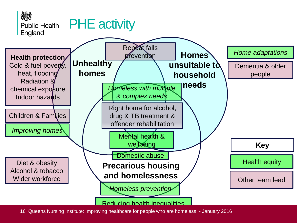

Planning new homes & neighbourhoods for health 16 Queens Nursing Institute: Improving healthcare for people who are homeless - January 2016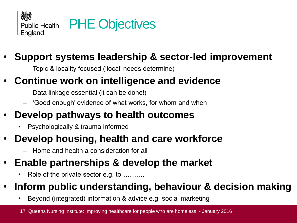

### • **Support systems leadership & sector-led improvement**

– Topic & locality focused ('local' needs determine)

### • **Continue work on intelligence and evidence**

- Data linkage essential (it can be done!)
- 'Good enough' evidence of what works, for whom and when

### • **Develop pathways to health outcomes**

• Psychologically & trauma informed

### • **Develop housing, health and care workforce**

– Home and health a consideration for all

### • **Enable partnerships & develop the market**

Role of the private sector e.g. to ..........

### • **Inform public understanding, behaviour & decision making**

• Beyond (integrated) information & advice e.g. social marketing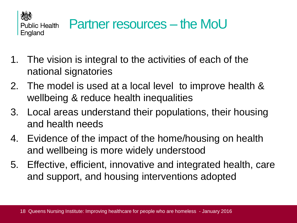

- 1. The vision is integral to the activities of each of the national signatories
- 2. The model is used at a local level to improve health & wellbeing & reduce health inequalities
- 3. Local areas understand their populations, their housing and health needs
- 4. Evidence of the impact of the home/housing on health and wellbeing is more widely understood
- 5. Effective, efficient, innovative and integrated health, care and support, and housing interventions adopted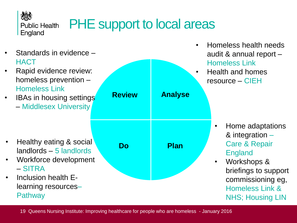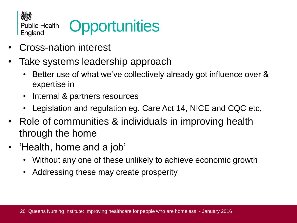

## **Opportunities**

- Cross-nation interest
- Take systems leadership approach
	- Better use of what we've collectively already got influence over & expertise in
	- Internal & partners resources
	- Legislation and regulation eg, Care Act 14, NICE and CQC etc,
- Role of communities & individuals in improving health through the home
- 'Health, home and a job'
	- Without any one of these unlikely to achieve economic growth
	- Addressing these may create prosperity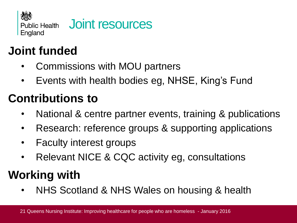

## **Joint funded**

- Commissions with MOU partners
- Events with health bodies eg, NHSE, King's Fund

## **Contributions to**

- National & centre partner events, training & publications
- Research: reference groups & supporting applications
- Faculty interest groups
- Relevant NICE & CQC activity eg, consultations

## **Working with**

• NHS Scotland & NHS Wales on housing & health